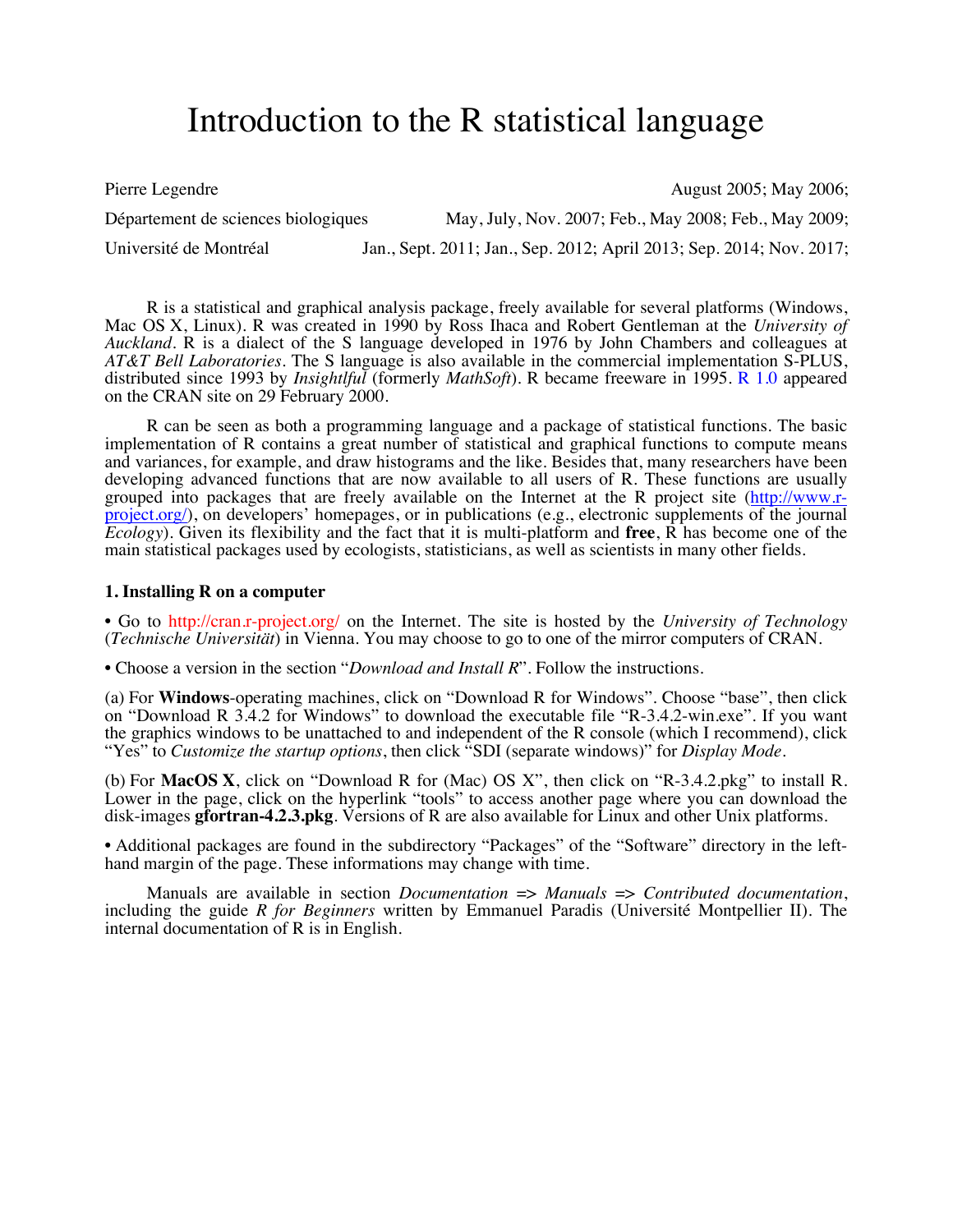# Introduction to the R statistical language

Pierre Legendre **August 2005**; May 2006; May 2006; August 2005; May 2006; August 2005; May 2006; August 2005; May 2006; August 2005; May 2006; August 2005; May 2006; August 2005; May 2006; August 2005; May 2006; August 200 Département de sciences biologiques May, July, Nov. 2007; Feb., May 2008; Feb., May 2009; Université de Montréal Jan., Sept. 2011; Jan., Sep. 2012; April 2013; Sep. 2014; Nov. 2017;

R is a statistical and graphical analysis package, freely available for several platforms (Windows, Mac OS X, Linux). R was created in 1990 by Ross Ihaca and Robert Gentleman at the *University of Auckland*. R is a dialect of the S language developed in 1976 by John Chambers and colleagues at *AT&T Bell Laboratories*. The S language is also available in the commercial implementation S-PLUS, distributed since 1993 by *Insightlful* (formerly *MathSoft*). R became freeware in 1995. R 1.0 appeared on the CRAN site on 29 February 2000.

R can be seen as both a programming language and a package of statistical functions. The basic implementation of R contains a great number of statistical and graphical functions to compute means and variances, for example, and draw histograms and the like. Besides that, many researchers have been developing advanced functions that are now available to all users of R. These functions are usually grouped into packages that are freely available on the Internet at the R project site (http://www.r- $\frac{\text{project.org}}{\text{)}$ , on developers' homepages, or in publications (e.g., electronic supplements of the journal *Ecology*). Given its flexibility and the fact that it is multi-platform and **free**, R has become one of the main statistical packages used by ecologists, statisticians, as well as scientists in many other fields.

## **1. Installing R on a computer**

• Go to http://cran.r-project.org/ on the Internet. The site is hosted by the *University of Technology* (*Technische Universität*) in Vienna. You may choose to go to one of the mirror computers of CRAN.

• Choose a version in the section "*Download and Install R*". Follow the instructions.

(a) For **Windows**-operating machines, click on "Download R for Windows". Choose "base", then click on "Download R 3.4.2 for Windows" to download the executable file "R-3.4.2-win.exe". If you want the graphics windows to be unattached to and independent of the R console (which I recommend), click "Yes" to *Customize the startup options*, then click "SDI (separate windows)" for *Display Mode*.

(b) For **MacOS X**, click on "Download R for (Mac) OS X", then click on "R-3.4.2.pkg" to install R. Lower in the page, click on the hyperlink "tools" to access another page where you can download the disk-images **gfortran-4.2.3.pkg**. Versions of R are also available for Linux and other Unix platforms.

• Additional packages are found in the subdirectory "Packages" of the "Software" directory in the lefthand margin of the page. These informations may change with time.

Manuals are available in section *Documentation* => *Manuals* => *Contributed documentation*, including the guide *R for Beginners* written by Emmanuel Paradis (Université Montpellier II). The internal documentation of R is in English.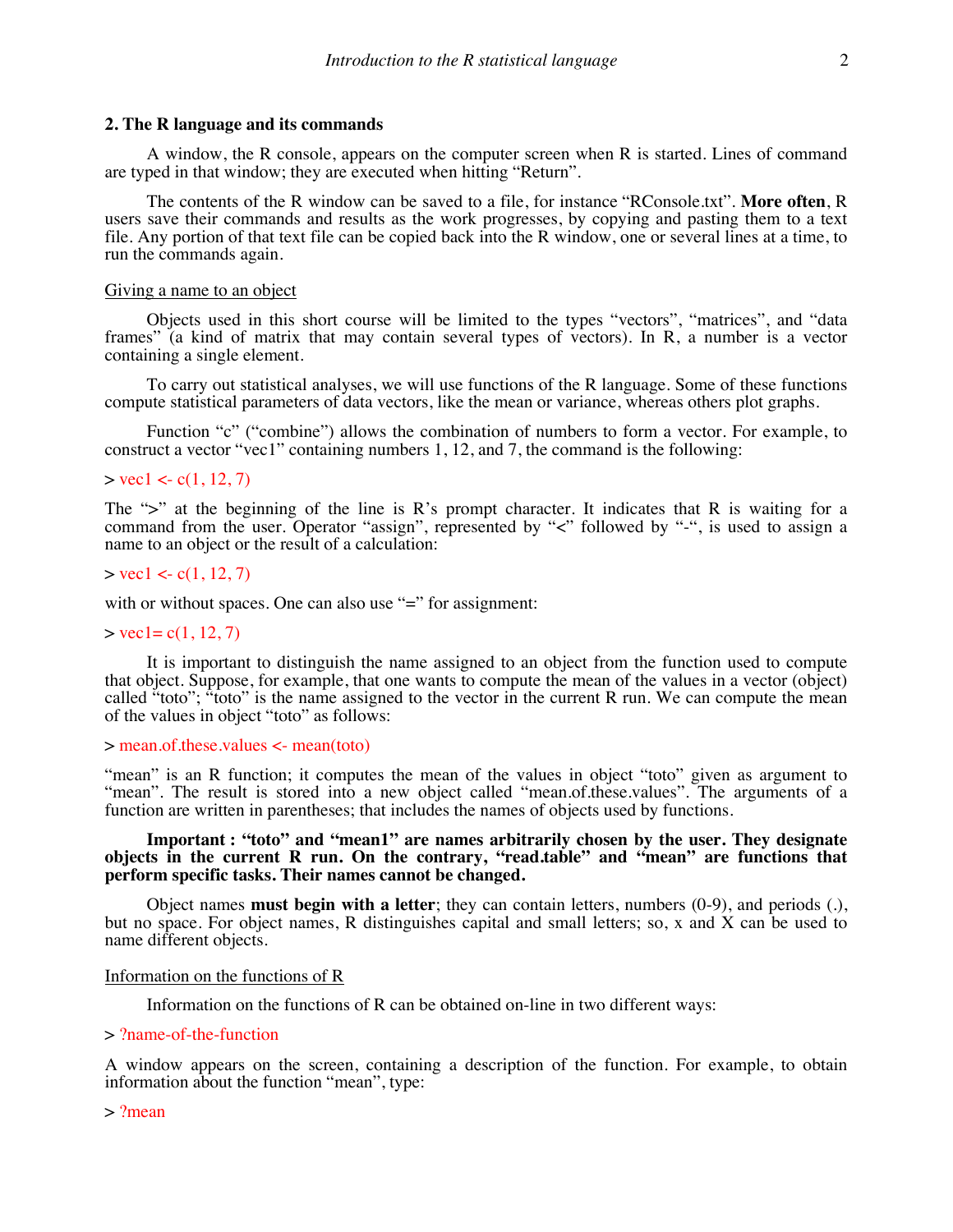A window, the R console, appears on the computer screen when R is started. Lines of command are typed in that window; they are executed when hitting "Return".

The contents of the R window can be saved to a file, for instance "RConsole.txt". **More often**, R users save their commands and results as the work progresses, by copying and pasting them to a text file. Any portion of that text file can be copied back into the R window, one or several lines at a time, to run the commands again.

#### Giving a name to an object

Objects used in this short course will be limited to the types "vectors", "matrices", and "data frames" (a kind of matrix that may contain several types of vectors). In R, a number is a vector containing a single element.

To carry out statistical analyses, we will use functions of the R language. Some of these functions compute statistical parameters of data vectors, like the mean or variance, whereas others plot graphs.

Function "c" ("combine") allows the combination of numbers to form a vector. For example, to construct a vector "vec1" containing numbers 1, 12, and 7, the command is the following:

## $>$  vec1 <- c(1, 12, 7)

The " $>$ " at the beginning of the line is R's prompt character. It indicates that R is waiting for a command from the user. Operator "assign", represented by "<" followed by "-", is used to assign a name to an object or the result of a calculation:

#### $>$  vec1 <- c(1, 12, 7)

with or without spaces. One can also use "=" for assignment:

#### $>$  vec1= c(1, 12, 7)

It is important to distinguish the name assigned to an object from the function used to compute that object. Suppose, for example, that one wants to compute the mean of the values in a vector (object) called "toto"; "toto" is the name assigned to the vector in the current R run. We can compute the mean of the values in object "toto" as follows:

#### > mean.of.these.values <- mean(toto)

"mean" is an R function; it computes the mean of the values in object "toto" given as argument to "mean". The result is stored into a new object called "mean.of.these.values". The arguments of a function are written in parentheses; that includes the names of objects used by functions.

## **Important : "toto" and "mean1" are names arbitrarily chosen by the user. They designate objects in the current R run. On the contrary, "read.table" and "mean" are functions that perform specific tasks. Their names cannot be changed.**

Object names **must begin with a letter**; they can contain letters, numbers (0-9), and periods (.), but no space. For object names, R distinguishes capital and small letters; so, x and X can be used to name different objects.

## Information on the functions of R

Information on the functions of R can be obtained on-line in two different ways:

## > ?name-of-the-function

A window appears on the screen, containing a description of the function. For example, to obtain information about the function "mean", type:

> ?mean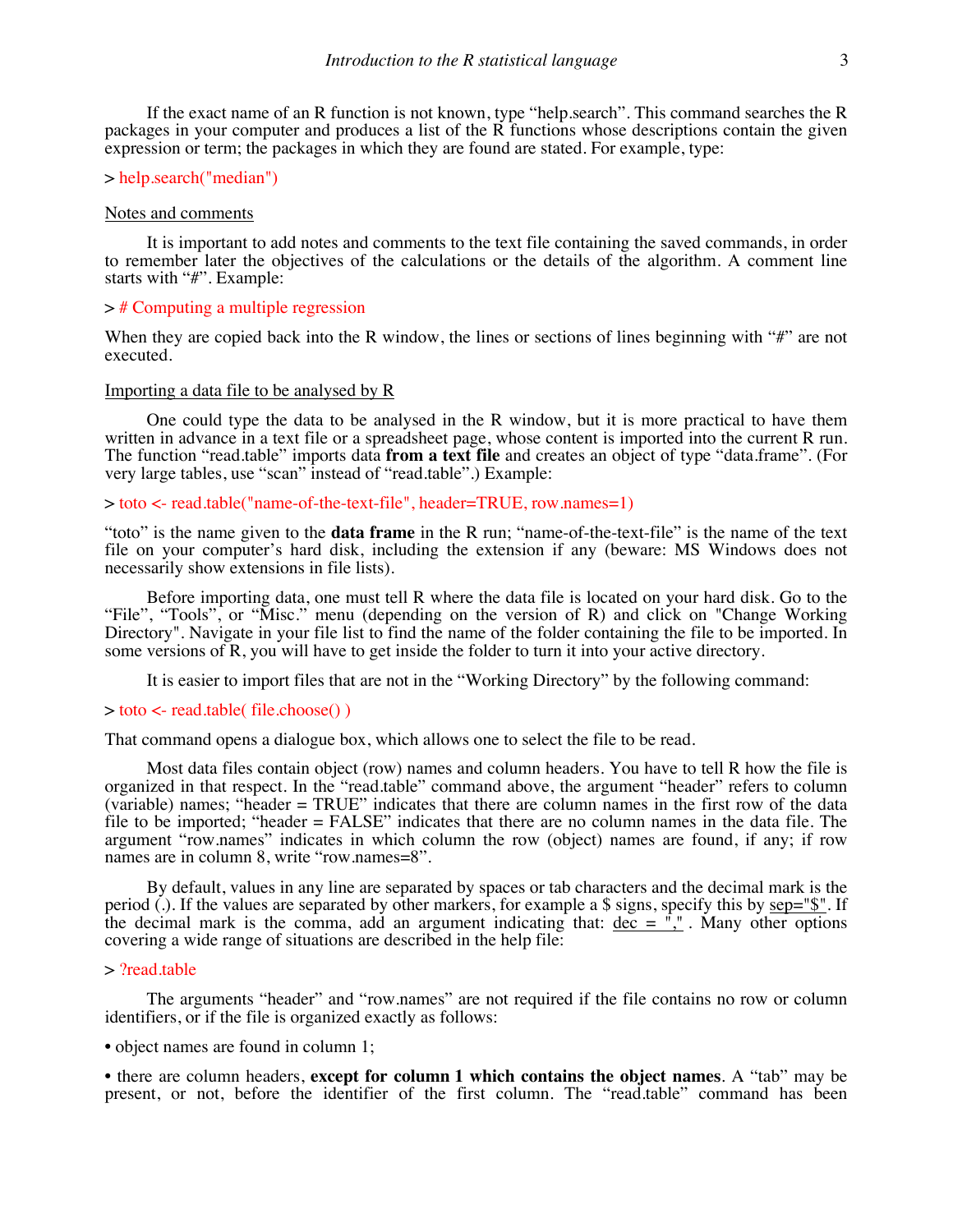If the exact name of an R function is not known, type "help.search". This command searches the R packages in your computer and produces a list of the R functions whose descriptions contain the given expression or term; the packages in which they are found are stated. For example, type:

#### > help.search("median")

#### Notes and comments

It is important to add notes and comments to the text file containing the saved commands, in order to remember later the objectives of the calculations or the details of the algorithm. A comment line starts with "#". Example:

#### > # Computing a multiple regression

When they are copied back into the R window, the lines or sections of lines beginning with "#" are not executed.

#### Importing a data file to be analysed by R

One could type the data to be analysed in the R window, but it is more practical to have them written in advance in a text file or a spreadsheet page, whose content is imported into the current R run. The function "read.table" imports data **from a text file** and creates an object of type "data.frame". (For very large tables, use "scan" instead of "read.table".) Example:

> toto <- read.table("name-of-the-text-file", header=TRUE, row.names=1)

"toto" is the name given to the **data frame** in the R run; "name-of-the-text-file" is the name of the text file on your computer's hard disk, including the extension if any (beware: MS Windows does not necessarily show extensions in file lists).

Before importing data, one must tell R where the data file is located on your hard disk. Go to the "File", "Tools", or "Misc." menu (depending on the version of R) and click on "Change Working Directory". Navigate in your file list to find the name of the folder containing the file to be imported. In some versions of R, you will have to get inside the folder to turn it into your active directory.

It is easier to import files that are not in the "Working Directory" by the following command:

#### > toto <- read.table( file.choose() )

That command opens a dialogue box, which allows one to select the file to be read.

Most data files contain object (row) names and column headers. You have to tell R how the file is organized in that respect. In the "read.table" command above, the argument "header" refers to column (variable) names; "header = TRUE" indicates that there are column names in the first row of the data file to be imported; "header = FALSE" indicates that there are no column names in the data file. The argument "row.names" indicates in which column the row (object) names are found, if any; if row names are in column 8, write "row names=8".

By default, values in any line are separated by spaces or tab characters and the decimal mark is the period (.). If the values are separated by other markers, for example a \$ signs, specify this by sep="\$". If the decimal mark is the comma, add an argument indicating that:  $\frac{dec}{ac} = \frac{m}{n}$ . Many other options covering a wide range of situations are described in the help file:

#### > ?read.table

The arguments "header" and "row.names" are not required if the file contains no row or column identifiers, or if the file is organized exactly as follows:

• object names are found in column 1;

• there are column headers, **except for column 1 which contains the object names**. A "tab" may be present, or not, before the identifier of the first column. The "read.table" command has been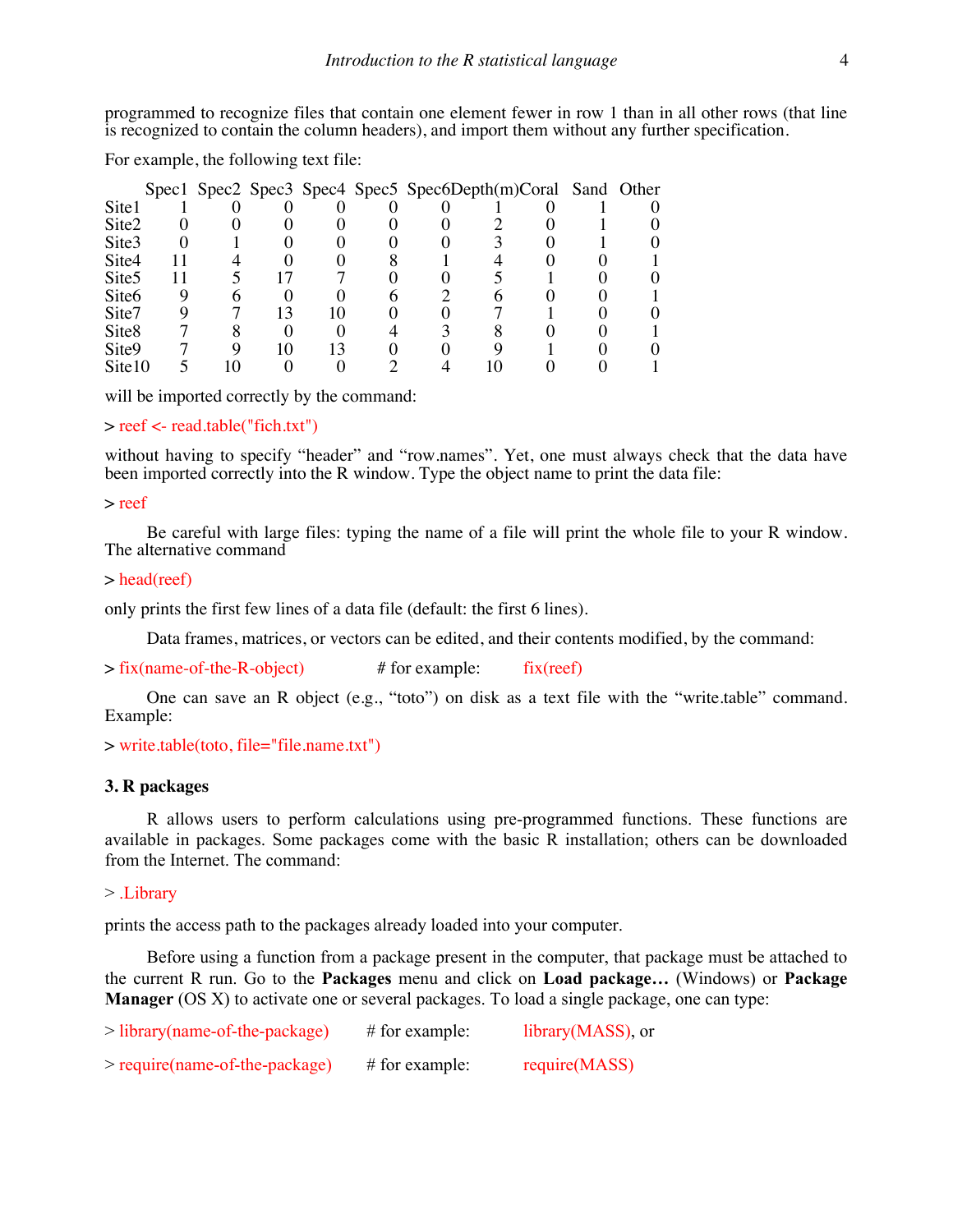programmed to recognize files that contain one element fewer in row 1 than in all other rows (that line is recognized to contain the column headers), and import them without any further specification.

For example, the following text file:

|                   |  |  |  | Spec1 Spec2 Spec3 Spec4 Spec5 Spec6Depth(m)Coral Sand Other |  |  |
|-------------------|--|--|--|-------------------------------------------------------------|--|--|
| Site1             |  |  |  |                                                             |  |  |
| Site2             |  |  |  |                                                             |  |  |
| Site <sub>3</sub> |  |  |  |                                                             |  |  |
| Site4             |  |  |  |                                                             |  |  |
| Site <sub>5</sub> |  |  |  |                                                             |  |  |
| Site <sub>6</sub> |  |  |  |                                                             |  |  |
| Site7             |  |  |  |                                                             |  |  |
| Site <sub>8</sub> |  |  |  |                                                             |  |  |
| Site9             |  |  |  |                                                             |  |  |
| Site10            |  |  |  |                                                             |  |  |

will be imported correctly by the command:

```
> reef <- read.table("fich.txt")
```
without having to specify "header" and "row.names". Yet, one must always check that the data have been imported correctly into the R window. Type the object name to print the data file:

> reef

Be careful with large files: typing the name of a file will print the whole file to your R window. The alternative command

## > head(reef)

only prints the first few lines of a data file (default: the first 6 lines).

Data frames, matrices, or vectors can be edited, and their contents modified, by the command:

```
> fix(name-of-the-R-object) # for example: fix(reef)
```
One can save an R object (e.g., "toto") on disk as a text file with the "write.table" command. Example:

```
> write.table(toto, file="file.name.txt")
```
## **3. R packages**

R allows users to perform calculations using pre-programmed functions. These functions are available in packages. Some packages come with the basic R installation; others can be downloaded from the Internet. The command:

## > .Library

prints the access path to the packages already loaded into your computer.

Before using a function from a package present in the computer, that package must be attached to the current R run. Go to the **Packages** menu and click on **Load package…** (Windows) or **Package Manager** (OS X) to activate one or several packages. To load a single package, one can type:

| $>$ library(name-of-the-package) | $#$ for example: | library (MASS), or |
|----------------------------------|------------------|--------------------|
| $>$ require(name-of-the-package) | $#$ for example: | require(MASS)      |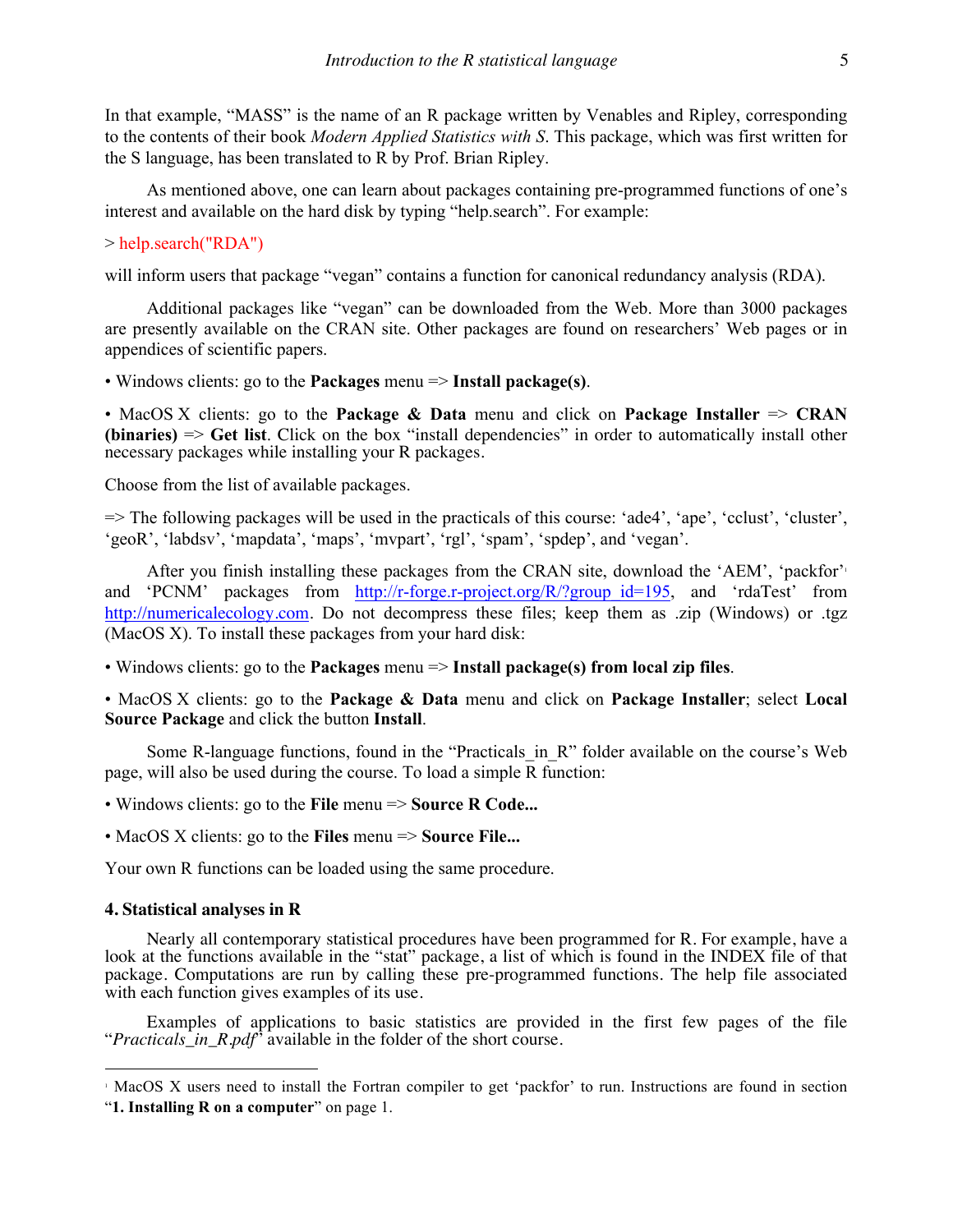In that example, "MASS" is the name of an R package written by Venables and Ripley, corresponding to the contents of their book *Modern Applied Statistics with S*. This package, which was first written for the S language, has been translated to R by Prof. Brian Ripley.

As mentioned above, one can learn about packages containing pre-programmed functions of one's interest and available on the hard disk by typing "help.search". For example:

## > help.search("RDA")

will inform users that package "vegan" contains a function for canonical redundancy analysis (RDA).

Additional packages like "vegan" can be downloaded from the Web. More than 3000 packages are presently available on the CRAN site. Other packages are found on researchers' Web pages or in appendices of scientific papers.

• Windows clients: go to the **Packages** menu => **Install package(s)**.

• MacOS X clients: go to the **Package & Data** menu and click on **Package Installer** => **CRAN (binaries)** => **Get list**. Click on the box "install dependencies" in order to automatically install other necessary packages while installing your R packages.

Choose from the list of available packages.

=> The following packages will be used in the practicals of this course: 'ade4', 'ape', 'cclust', 'cluster', 'geoR', 'labdsv', 'mapdata', 'maps', 'mvpart', 'rgl', 'spam', 'spdep', and 'vegan'.

After you finish installing these packages from the CRAN site, download the 'AEM', 'packfor'<sup>1</sup> and 'PCNM' packages from http://r-forge.r-project.org/R/?group id=195, and 'rdaTest' from http://numericalecology.com. Do not decompress these files; keep them as .zip (Windows) or .tgz (MacOS X). To install these packages from your hard disk:

• Windows clients: go to the **Packages** menu => **Install package(s) from local zip files**.

• MacOS X clients: go to the **Package & Data** menu and click on **Package Installer**; select **Local Source Package** and click the button **Install**.

Some R-language functions, found in the "Practicals in R" folder available on the course's Web page, will also be used during the course. To load a simple R function:

• Windows clients: go to the **File** menu => **Source R Code...**

• MacOS X clients: go to the **Files** menu => **Source File...**

Your own R functions can be loaded using the same procedure.

## **4. Statistical analyses in R**

Nearly all contemporary statistical procedures have been programmed for R. For example, have a look at the functions available in the "stat" package, a list of which is found in the INDEX file of that package. Computations are run by calling these pre-programmed functions. The help file associated with each function gives examples of its use.

Examples of applications to basic statistics are provided in the first few pages of the file "*Practicals\_in\_R.pdf*" available in the folder of the short course.

 <sup>1</sup> MacOS X users need to install the Fortran compiler to get 'packfor' to run. Instructions are found in section "**1. Installing R on a computer**" on page 1.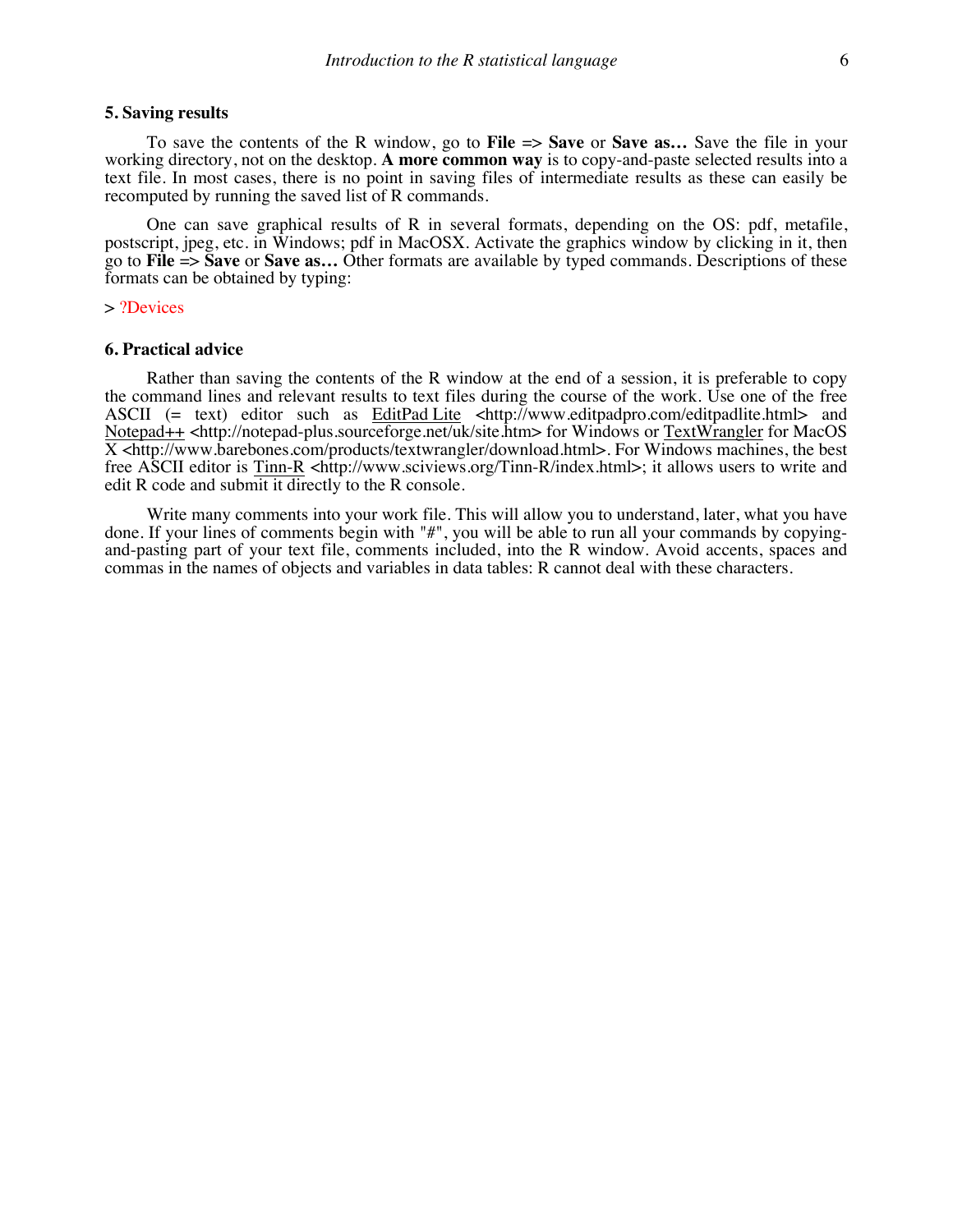## **5. Saving results**

To save the contents of the R window, go to **File** => **Save** or **Save as…** Save the file in your working directory, not on the desktop. **A more common way** is to copy-and-paste selected results into a text file. In most cases, there is no point in saving files of intermediate results as these can easily be recomputed by running the saved list of R commands.

One can save graphical results of R in several formats, depending on the OS: pdf, metafile, postscript, jpeg, etc. in Windows; pdf in MacOSX. Activate the graphics window by clicking in it, then go to **File** => **Save** or **Save as…** Other formats are available by typed commands. Descriptions of these formats can be obtained by typing:

#### > ?Devices

#### **6. Practical advice**

Rather than saving the contents of the R window at the end of a session, it is preferable to copy the command lines and relevant results to text files during the course of the work. Use one of the free ASCII (= text) editor such as EditPad Lite <http://www.editpadpro.com/editpadlite.html> and Notepad++ <http://notepad-plus.sourceforge.net/uk/site.htm> for Windows or TextWrangler for MacOS  $\overline{X}$  <http://www.barebones.com/products/textwrangler/download.html>. For Windows machines, the best free ASCII editor is Tinn-R <http://www.sciviews.org/Tinn-R/index.html>; it allows users to write and edit R code and submit it directly to the R console.

Write many comments into your work file. This will allow you to understand, later, what you have done. If your lines of comments begin with "#", you will be able to run all your commands by copyingand-pasting part of your text file, comments included, into the R window. Avoid accents, spaces and commas in the names of objects and variables in data tables: R cannot deal with these characters.